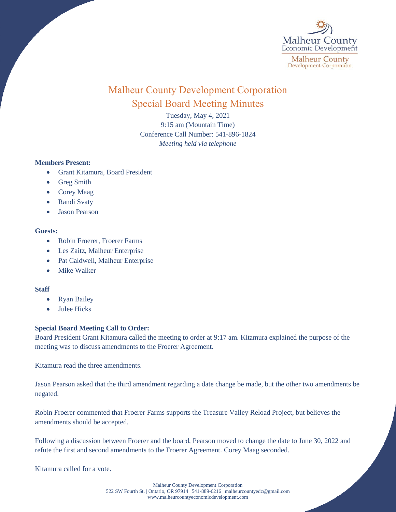

# Malheur County Development Corporation Special Board Meeting Minutes

Tuesday, May 4, 2021 9:15 am (Mountain Time) Conference Call Number: 541-896-1824 *Meeting held via telephone*

## **Members Present:**

- Grant Kitamura, Board President
- Greg Smith
- Corey Maag
- Randi Svaty
- Jason Pearson

#### **Guests:**

- Robin Froerer, Froerer Farms
- Les Zaitz, Malheur Enterprise
- Pat Caldwell, Malheur Enterprise
- Mike Walker

## **Staff**

- Ryan Bailey
- Julee Hicks

## **Special Board Meeting Call to Order:**

Board President Grant Kitamura called the meeting to order at 9:17 am. Kitamura explained the purpose of the meeting was to discuss amendments to the Froerer Agreement.

Kitamura read the three amendments.

Jason Pearson asked that the third amendment regarding a date change be made, but the other two amendments be negated.

Robin Froerer commented that Froerer Farms supports the Treasure Valley Reload Project, but believes the amendments should be accepted.

Following a discussion between Froerer and the board, Pearson moved to change the date to June 30, 2022 and refute the first and second amendments to the Froerer Agreement. Corey Maag seconded.

Kitamura called for a vote.

Malheur County Development Corporation 522 SW Fourth St. | Ontario, OR 97914 | 541-889-6216 [| malheurcountyedc@gmail.com](mailto:malheurcountyedc@gmail.com) [www.malheurcountyeconomicdevelopment.com](http://www.malheurcountyeconomicdevelopment.com/)